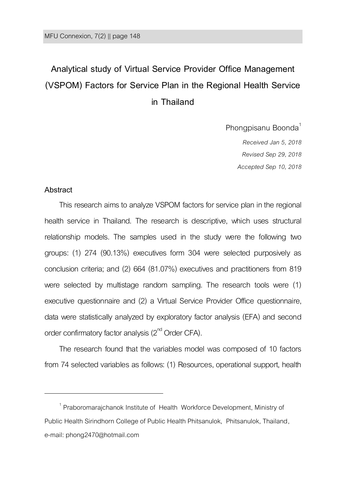# **Analytical study of Virtual Service Provider Office Management (VSPOM) Factors for Service Plan in the Regional Health Service in Thailand**

Phongpisanu Boonda<sup>1</sup> *Received Jan 5, 2018 Revised Sep 29, 2018*

*Accepted Sep 10, 2018*

#### **Abstract**

 $\overline{a}$ 

This research aims to analyze VSPOM factors for service plan in the regional health service in Thailand. The research is descriptive, which uses structural relationship models. The samples used in the study were the following two groups: (1) 274 (90.13%) executives form 304 were selected purposively as conclusion criteria; and (2) 664 (81.07%) executives and practitioners from 819 were selected by multistage random sampling. The research tools were (1) executive questionnaire and (2) a Virtual Service Provider Office questionnaire, data were statistically analyzed by exploratory factor analysis (EFA) and second order confirmatory factor analysis ( $2^{\text{nd}}$  Order CFA).

The research found that the variables model was composed of 10 factors from 74 selected variables as follows: (1) Resources, operational support, health

<sup>1</sup> Praboromarajchanok Institute of Health Workforce Development, Ministry of Public Health Sirindhorn College of Public Health Phitsanulok, Phitsanulok, Thailand, e-mail: phong2470@hotmail.com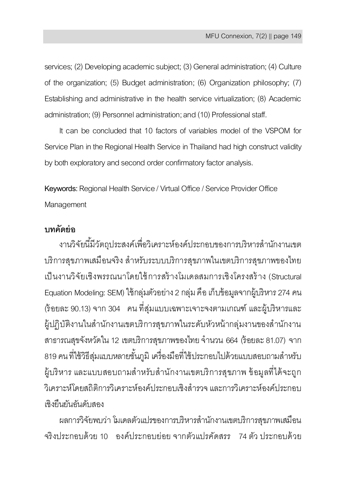services; (2) Developing academic subject; (3) General administration; (4) Culture of the organization; (5) Budget administration; (6) Organization philosophy; (7) Establishing and administrative in the health service virtualization; (8) Academic administration; (9) Personnel administration; and (10) Professional staff.

It can be concluded that 10 factors of variables model of the VSPOM for Service Plan in the Regional Health Service in Thailand had high construct validity by both exploratory and second order confirmatory factor analysis.

**Keywords:** Regional Health Service/ Virtual Office/ Service Provider Office **Management** 

# **บทคัดย่อ**

งานวิจัยนี้มีวัตถุประสงค์เพื่อวิเคราะห์องค์ประกอบของการบริหารสำนักงานเขต บริการสุขภาพเสมือนจริง สำหรับระบบบริการสุขภาพในเขตบริการสุขภาพของไทย เป็ นงานวิจัยเชิงพรรณนาโดยใช้การสร้ างโมเดลสมการเชิงโครงสร้ าง (Structural Equation Modeling: SEM) ใช้กลุ่มตัวอย่าง2 กลุ่ม คือ เก็บข้อมูลจากผู้บริหาร 274 คน (ร้ อยละ 90.13) จาก 304 คน ที่สุ่มแบบเฉพาะเจาะจงตามเกณฑ์ และผู้บริหารและ ผู้ปฏิบัติงานในสำนักงานเขตบริการสุขภาพในระดับหัวหน้ากล่มงานของสำนักงาน สาธารณสุขจังหวัดใน 12 เขตบริการสุขภาพของไทย จำนวน 664 (ร้อยละ 81.07) จาก 819 คน ที่ใช้วิธีส่มแบบหลายชั้นภมิ เครื่องมือที่ใช้ประกอบไปด้วยแบบสอบถามสำหรับ ผู้บริหาร และแบบสอบถามสำหรับสำนักงานเขตบริการสุขภาพ ข้อมูลที่ได้จะถูก วิเคราะห์โดยสถิติการวิเคราะห์องค์ประกอบเชิงสำรวจ และการวิเคราะห์องค์ประกอบ เชิงยืนยันอันดับสอง

ผลการวิจัยพบว่า โมเดลตัวแปรของการบริหารส านักงานเขตบริการสุขภาพเสมือน จริงประกอบด้วย 10 องค์ประกอบย่อย จากตัวแปรคัดสรร 74 ตัว ประกอบด้วย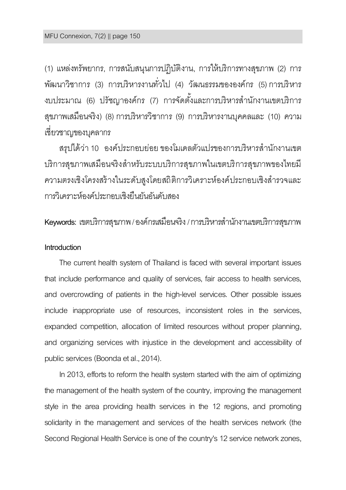(1) แหล่งทรัพยากร, การสนับสนุนการปฏิบัติงาน, การให้บริการทางสุขภาพ (2) การ พัฒนาวิชาการ (3) การบริหารงานทั่วไป (4) วัฒนธรรมขององค์กร (5) การบริหาร งบประมาณ (6) ปรัชญาองค์กร (7) การจัดตั้งและการบริหารสำนักงานเขตบริการ สุขภาพเสมือนจริง) (8) การบริหารวิชาการ (9) การบริหารงานบุคคลและ (10) ความ เชี่ยวชาญของบุคลากร

สรปได้ว่า 10 องค์ประกอบย่อย ของโมเดลตัวแปรของการบริหารสำนักงานเขต บริการสุขภาพเสมือนจริงส าหรับระบบบริการสุขภาพในเขตบริการสุขภาพของไทยมี ความตรงเชิงโครงสร้ างในระดับสูงโดยสถิติการวิเคราะห์องค์ประกอบเชิงส ารวจและ การวิเคราะห์องค์ประกอบเชิงยืนยันอันดับสอง

**Keywords:** เขตบริการสุขภาพ/องค์กรเสมือนจริง/ การบริหารส านักงานเขตบริการสุขภาพ

# **Introduction**

The current health system of Thailand is faced with several important issues that include performance and quality of services, fair access to health services, and overcrowding of patients in the high-level services. Other possible issues include inappropriate use of resources, inconsistent roles in the services, expanded competition, allocation of limited resources without proper planning, and organizing services with injustice in the development and accessibility of public services (Boonda et al., 2014).

In 2013, efforts to reform the health system started with the aim of optimizing the management of the health system of the country, improving the management style in the area providing health services in the 12 regions, and promoting solidarity in the management and services of the health services network (the Second Regional Health Service is one of the country's 12 service network zones,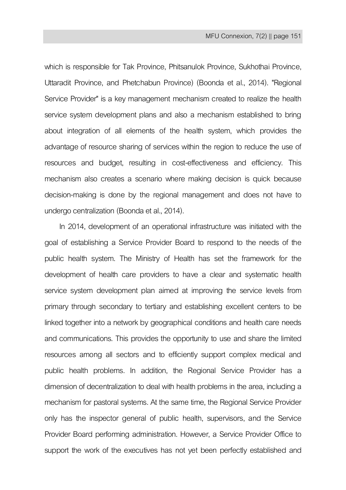which is responsible for Tak Province, Phitsanulok Province, Sukhothai Province, Uttaradit Province, and Phetchabun Province) (Boonda et al., 2014). "Regional Service Provider" is a key management mechanism created to realize the health service system development plans and also a mechanism established to bring about integration of all elements of the health system, which provides the advantage of resource sharing of services within the region to reduce the use of resources and budget, resulting in cost-effectiveness and efficiency. This mechanism also creates a scenario where making decision is quick because decision-making is done by the regional management and does not have to undergo centralization (Boonda et al., 2014).

In 2014, development of an operational infrastructure was initiated with the goal of establishing a Service Provider Board to respond to the needs of the public health system. The Ministry of Health has set the framework for the development of health care providers to have a clear and systematic health service system development plan aimed at improving the service levels from primary through secondary to tertiary and establishing excellent centers to be linked together into a network by geographical conditions and health care needs and communications. This provides the opportunity to use and share the limited resources among all sectors and to efficiently support complex medical and public health problems. In addition, the Regional Service Provider has a dimension of decentralization to deal with health problems in the area, including a mechanism for pastoral systems. At the same time, the Regional Service Provider only has the inspector general of public health, supervisors, and the Service Provider Board performing administration. However, a Service Provider Office to support the work of the executives has not yet been perfectly established and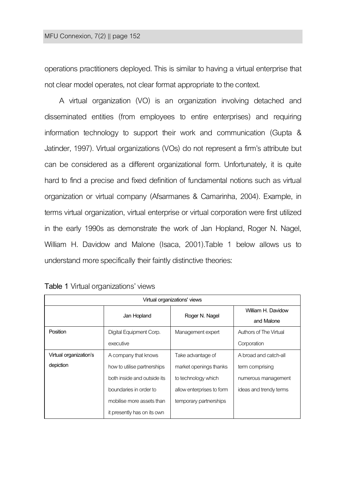operations practitioners deployed. This is similar to having a virtual enterprise that not clear model operates, not clear format appropriate to the context.

A virtual organization (VO) is an organization involving detached and disseminated entities (from employees to entire enterprises) and requiring information technology to support their work and communication (Gupta & Jatinder, 1997). Virtual organizations (VOs) do not represent a firm's attribute but can be considered as a different organizational form. Unfortunately, it is quite hard to find a precise and fixed definition of fundamental notions such as virtual organization or virtual company (Afsarmanes & Camarinha, 2004). Example, in terms virtual organization[, virtual enterprise](https://en.wikipedia.org/wiki/Virtual_enterprise) o[r virtual corporation](https://en.wikipedia.org/wiki/Virtual_corporation) were first utilized in the early 1990s as demonstrate the work of Jan Hopland, Roger N. Nagel, [William H. Davidow](https://en.wikipedia.org/w/index.php?title=William_H._Davidow&action=edit&redlink=1) and Malone (Isaca, 2001).Table 1 below allows us to understand more specifically their faintly distinctive theories:

| Virtual organizations' views |                             |                           |                        |  |  |  |
|------------------------------|-----------------------------|---------------------------|------------------------|--|--|--|
|                              | Jan Hopland                 | Roger N. Nagel            | William H. Davidow     |  |  |  |
|                              |                             |                           | and Malone             |  |  |  |
| Position                     | Digital Equipment Corp.     | Management expert         | Authors of The Virtual |  |  |  |
|                              | executive                   |                           | Corporation            |  |  |  |
| Virtual organization's       | A company that knows        | Take advantage of         | A broad and catch-all  |  |  |  |
| depiction                    | how to utilise partnerships | market openings thanks    | term comprising        |  |  |  |
|                              | both inside and outside its | to technology which       | numerous management    |  |  |  |
|                              | boundaries in order to      | allow enterprises to form | ideas and trendy terms |  |  |  |
|                              | mobilise more assets than   | temporary partnerships    |                        |  |  |  |
|                              | it presently has on its own |                           |                        |  |  |  |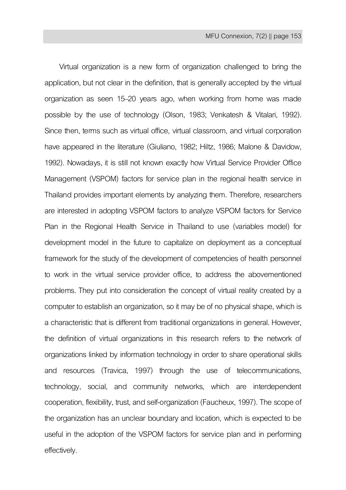Virtual organization is a new form of organization challenged to bring the application, but not clear in the definition, that is generally accepted by the virtual organization as seen 15–20 years ago, when working from home was made possible by the use of technology (Olson, 1983; Venkatesh & Vitalari, 1992). Since then, terms such as virtual office, virtual classroom, and virtual corporation have appeared in the literature (Giuliano, 1982; Hiltz, 1986; Malone & Davidow, 1992). Nowadays, it is still not known exactly how Virtual Service Provider Office Management (VSPOM) factors for service plan in the regional health service in Thailand provides important elements by analyzing them. Therefore, researchers are interested in adopting VSPOM factors to analyze VSPOM factors for Service Plan in the Regional Health Service in Thailand to use (variables model) for development model in the future to capitalize on deployment as a conceptual framework for the study of the development of competencies of health personnel to work in the virtual service provider office, to address the abovementioned problems. They put into consideration the concept of virtual reality created by a computer to establish an organization, so it may be of no physical shape, which is a characteristic that is different from traditional organizations in general. However, the definition of virtual organizations in this research refers to the network of organizations linked by information technology in order to share operational skills and resources (Travica, 1997) through the use of telecommunications, technology, social, and community networks, which are interdependent cooperation, flexibility, trust, and self-organization(Faucheux,1997). The scope of the organization has an unclear boundary and location, which is expected to be useful in the adoption of the VSPOM factors for service plan and in performing effectively.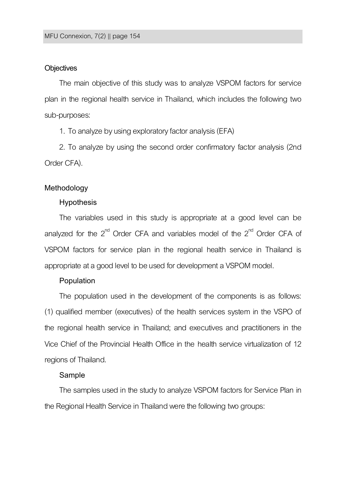#### **Objectives**

The main objective of this study was to analyze VSPOM factors for service plan in the regional health service in Thailand, which includes the following two sub-purposes:

1. To analyze by using exploratory factor analysis(EFA)

2. To analyze by using the second order confirmatory factor analysis (2nd Order CFA).

#### **Methodology**

#### **Hypothesis**

The variables used in this study is appropriate at a good level can be analyzed for the  $2^{nd}$  Order CFA and variables model of the  $2^{nd}$  Order CFA of VSPOM factors for service plan in the regional health service in Thailand is appropriate at a good level to be used for development a VSPOM model.

#### **Population**

The population used in the development of the components is as follows: (1) qualified member (executives) of the health services system in the VSPO of the regional health service in Thailand; and executives and practitioners in the Vice Chief of the Provincial Health Office in the health service virtualization of 12 regions of Thailand.

#### **Sample**

The samples used in the study to analyze VSPOM factors for Service Plan in the Regional Health Service in Thailand were the following two groups: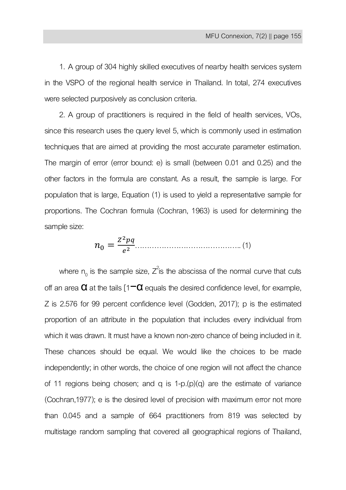1. A group of 304 highly skilled executives of nearby health services system in the VSPO of the regional health service in Thailand. In total, 274 executives were selected purposively as conclusion criteria.

2. A group of practitioners is required in the field of health services, VOs, since this research uses the query level 5, which is commonly used in estimation techniques that are aimed at providing the most accurate parameter estimation. The margin of error (error bound: e) is small (between 0.01 and 0.25) and the other factors in the formula are constant. As a result, the sample is large. For population that is large, Equation (1) is used to yield a representative sample for proportions. The Cochran formula (Cochran, 1963) is used for determining the sample size:

 …………………………………….. (1)

where  $n_0$  is the sample size,  $Z^2$ is the abscissa of the normal curve that cuts off an area  $\alpha$  at the tails  $\alpha$  =  $\alpha$  equals the desired confidence level, for example, Z is 2.576 for 99 percent confidence level (Godden, 2017); p is the estimated proportion of an attribute in the population that includes every individual from which it was drawn. It must have a known non-zero chance of being included in it. These chances should be equal. We would like the choices to be made independently; in other words, the choice of one region will not affect the chance of 11 regions being chosen; and q is  $1-p(p)(q)$  are the estimate of variance (Cochran,1977); e is the desired level of precision with maximum error not more than 0.045 and a sample of 664 practitioners from 819 was selected by multistage random sampling that covered all geographical regions of Thailand,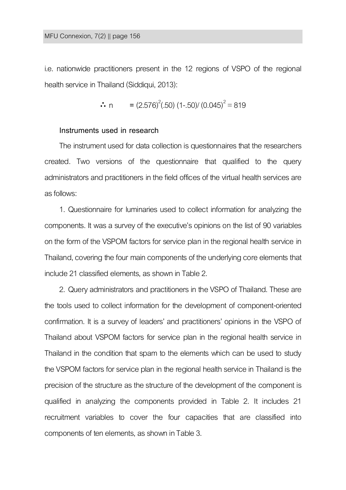i.e. nationwide practitioners present in the 12 regions of VSPO of the regional health service in Thailand (Siddiqui, 2013):

$$
\therefore n = (2.576)^{2}(.50) (1-.50) / (0.045)^{2} = 819
$$

# **Instruments used in research**

The instrument used for data collection is questionnaires that the researchers created. Two versions of the questionnaire that qualified to the query administrators and practitioners in the field offices of the virtual health services are as follows:

1. Questionnaire for luminaries used to collect information for analyzing the components. It was a survey of the executive's opinions on the list of 90 variables on the form of the VSPOM factors for service plan in the regional health service in Thailand, covering the four main components of the underlying core elements that include 21 classified elements, as shown in Table 2.

2. Query administrators and practitioners in the VSPO of Thailand. These are the tools used to collect information for the development of component-oriented confirmation. It is a survey of leaders' and practitioners' opinions in the VSPO of Thailand about VSPOM factors for service plan in the regional health service in Thailand in the condition that spam to the elements which can be used to study the VSPOM factors for service plan in the regional health service in Thailand is the precision of the structure as the structure of the development of the component is qualified in analyzing the components provided in Table 2. It includes 21 recruitment variables to cover the four capacities that are classified into components of ten elements, as shown in Table 3.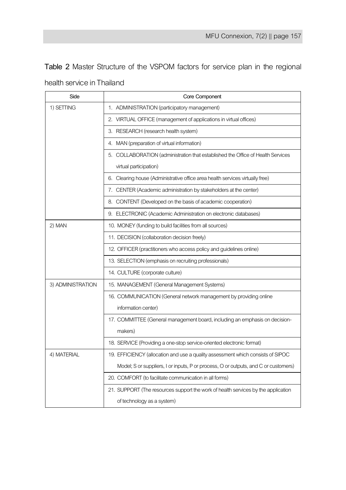**Table 2** Master Structure of the VSPOM factors for service plan in the regional

| Side              | Core Component                                                                      |
|-------------------|-------------------------------------------------------------------------------------|
| 1) SETTING        | 1. ADMINISTRATION (participatory management)                                        |
|                   | 2. VIRTUAL OFFICE (management of applications in virtual offices)                   |
|                   | 3. RESEARCH (research health system)                                                |
|                   | 4. MAN (preparation of virtual information)                                         |
|                   | 5. COLLABORATION (administration that established the Office of Health Services     |
|                   | virtual participation)                                                              |
|                   | 6. Clearing house (Administrative office area health services virtually free)       |
|                   | 7. CENTER (Academic administration by stakeholders at the center)                   |
|                   | 8. CONTENT (Developed on the basis of academic cooperation)                         |
|                   | 9. ELECTRONIC (Academic Administration on electronic databases)                     |
| 2) MAN            | 10. MONEY (funding to build facilities from all sources)                            |
|                   | 11. DECISION (collaboration decision freely)                                        |
|                   | 12. OFFICER (practitioners who access policy and guidelines online)                 |
|                   | 13. SELECTION (emphasis on recruiting professionals)                                |
|                   | 14. CULTURE (corporate culture)                                                     |
| 3) ADMINISTRATION | 15. MANAGEMENT (General Management Systems)                                         |
|                   | 16. COMMUNICATION (General network management by providing online                   |
|                   | information center)                                                                 |
|                   | 17. COMMITTEE (General management board, including an emphasis on decision-         |
|                   | makers)                                                                             |
|                   | 18. SERVICE (Providing a one-stop service-oriented electronic format)               |
| 4) MATERIAL       | 19. EFFICIENCY (allocation and use a quality assessment which consists of SIPOC     |
|                   | Model; S or suppliers, I or inputs, P or process, O or outputs, and C or customers) |
|                   | 20. COMFORT (to facilitate communication in all forms)                              |
|                   | 21. SUPPORT (The resources support the work of health services by the application   |
|                   | of technology as a system)                                                          |

health service in Thailand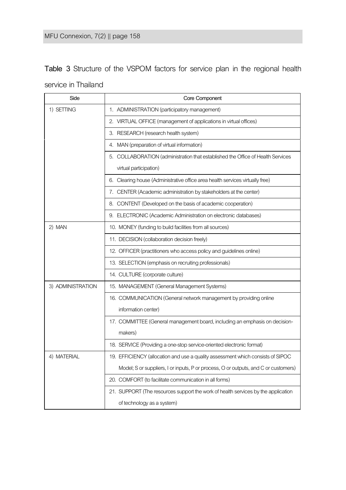**Table 3** Structure of the VSPOM factors for service plan in the regional health service in Thailand

| Side              | Core Component                                                                      |
|-------------------|-------------------------------------------------------------------------------------|
| 1) SETTING        | 1. ADMINISTRATION (participatory management)                                        |
|                   | 2. VIRTUAL OFFICE (management of applications in virtual offices)                   |
|                   | 3. RESEARCH (research health system)                                                |
|                   | 4. MAN (preparation of virtual information)                                         |
|                   | 5. COLLABORATION (administration that established the Office of Health Services     |
|                   | virtual participation)                                                              |
|                   | 6. Clearing house (Administrative office area health services virtually free)       |
|                   | 7. CENTER (Academic administration by stakeholders at the center)                   |
|                   | 8. CONTENT (Developed on the basis of academic cooperation)                         |
|                   | 9. ELECTRONIC (Academic Administration on electronic databases)                     |
| 2) MAN            | 10. MONEY (funding to build facilities from all sources)                            |
|                   | 11. DECISION (collaboration decision freely)                                        |
|                   | 12. OFFICER (practitioners who access policy and guidelines online)                 |
|                   | 13. SELECTION (emphasis on recruiting professionals)                                |
|                   | 14. CULTURE (corporate culture)                                                     |
| 3) ADMINISTRATION | 15. MANAGEMENT (General Management Systems)                                         |
|                   | 16. COMMUNICATION (General network management by providing online                   |
|                   | information center)                                                                 |
|                   | 17. COMMITTEE (General management board, including an emphasis on decision-         |
|                   | makers)                                                                             |
|                   | 18. SERVICE (Providing a one-stop service-oriented electronic format)               |
| 4) MATERIAL       | 19. EFFICIENCY (allocation and use a quality assessment which consists of SIPOC     |
|                   | Model; S or suppliers, I or inputs, P or process, O or outputs, and C or customers) |
|                   | 20. COMFORT (to facilitate communication in all forms)                              |
|                   | 21. SUPPORT (The resources support the work of health services by the application   |
|                   | of technology as a system)                                                          |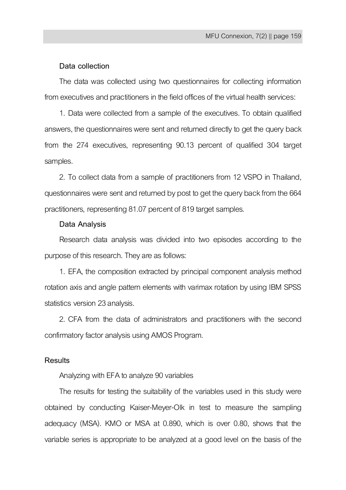# **Data collection**

The data was collected using two questionnaires for collecting information from executives and practitioners in the field offices of the virtual health services:

1. Data were collected from a sample of the executives. To obtain qualified answers, the questionnaires were sent and returned directly to get the query back from the 274 executives, representing 90.13 percent of qualified 304 target samples.

2. To collect data from a sample of practitioners from 12 VSPO in Thailand, questionnaires were sent and returned by post to get the query back from the 664 practitioners, representing 81.07 percent of 819 target samples.

#### **Data Analysis**

Research data analysis was divided into two episodes according to the purpose of this research. They are as follows:

1. EFA, the composition extracted by principal component analysis method rotation axis and angle pattern elements with varimax rotation by using IBM SPSS statistics version 23 analysis.

2. CFA from the data of administrators and practitioners with the second confirmatory factor analysis using AMOS Program.

# **Results**

Analyzing with EFA to analyze 90 variables

The results for testing the suitability of the variables used in this study were obtained by conducting Kaiser-Meyer-Olk in test to measure the sampling adequacy (MSA). KMO or MSA at 0.890, which is over 0.80, shows that the variable series is appropriate to be analyzed at a good level on the basis of the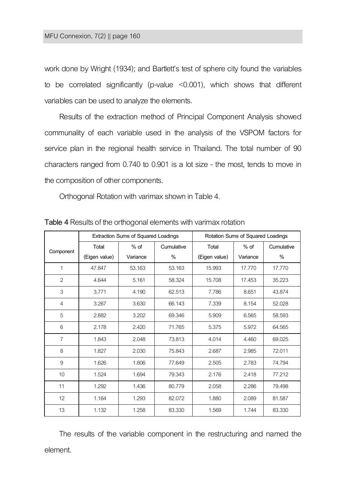work done by Wright (1934); and Bartlett's test of sphere city found the variables to be correlated significantly (p-value <0.001), which shows that different variables can be used to analyze the elements.

Results of the extraction method of Principal Component Analysis showed communality of each variable used in the analysis of the VSPOM factors for service plan in the regional health service in Thailand. The total number of 90 characters ranged from 0.740 to 0.901 is a lot size - the most, tends to move in the composition of other components.

Orthogonal Rotation with varimax shown in Table 4.

|                | <b>Extraction Sums of Squared Loadings</b> |          |        | Rotation Sums of Squared Loadings |          |            |
|----------------|--------------------------------------------|----------|--------|-----------------------------------|----------|------------|
| Component      | $%$ of<br>Total<br>Cumulative              |          |        | Total                             | $%$ of   | Cumulative |
|                | (Eigen value)                              | Variance | %      | (Eigen value)                     | Variance | %          |
| 1              | 47.847                                     | 53.163   | 53.163 | 15.993                            | 17.770   | 17.770     |
| $\overline{2}$ | 4.644                                      | 5.161    | 58.324 | 15.708                            | 17.453   | 35.223     |
| 3              | 3.771                                      | 4.190    | 62.513 | 7.786                             | 8.651    | 43.874     |
| $\overline{4}$ | 3.267                                      | 3.630    | 66.143 | 7.339                             | 8.154    | 52.028     |
| 5              | 2.882                                      | 3.202    | 69.346 | 5.909                             | 6.565    | 58.593     |
| 6              | 2.178                                      | 2.420    | 71.765 | 5.375                             | 5.972    | 64.565     |
| $\overline{7}$ | 1.843                                      | 2.048    | 73.813 | 4.014                             | 4.460    | 69.025     |
| 8              | 1.827                                      | 2.030    | 75.843 | 2.687                             | 2.985    | 72.011     |
| 9              | 1.626                                      | 1.806    | 77.649 | 2.505                             | 2.783    | 74.794     |
| 10             | 1.524                                      | 1.694    | 79.343 | 2.176                             | 2.418    | 77.212     |
| 11             | 1.292                                      | 1.436    | 80.779 | 2.058                             | 2.286    | 79.498     |
| 12             | 1.164                                      | 1.293    | 82.072 | 1.880                             | 2.089    | 81.587     |
| 13             | 1.132                                      | 1.258    | 83.330 | 1.569                             | 1.744    | 83.330     |

**Table 4** Results of the orthogonal elements with varimax rotation

The results of the variable component in the restructuring and named the element.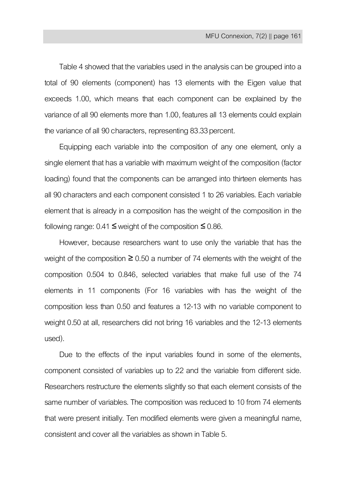Table 4 showed that the variables used in the analysis can be grouped into a total of 90 elements (component) has 13 elements with the Eigen value that exceeds 1.00, which means that each component can be explained by the variance of all 90 elements more than 1.00, features all 13 elements could explain the variance of all 90 characters, representing 83.33percent.

Equipping each variable into the composition of any one element, only a single element that has a variable with maximum weight of the composition (factor loading) found that the components can be arranged into thirteen elements has all 90 characters and each component consisted 1 to 26 variables. Each variable element that is already in a composition has the weight of the composition in the following range:  $0.41$  ≤ weight of the composition ≤ 0.86.

However, because researchers want to use only the variable that has the weight of the composition  $\geq 0.50$  a number of 74 elements with the weight of the composition 0.504 to 0.846, selected variables that make full use of the 74 elements in 11 components (For 16 variables with has the weight of the composition less than 0.50 and features a 12-13 with no variable component to weight 0.50 at all, researchers did not bring 16 variables and the 12-13 elements used).

Due to the effects of the input variables found in some of the elements, component consisted of variables up to 22 and the variable from different side. Researchers restructure the elements slightly so that each element consists of the same number of variables. The composition was reduced to 10 from 74 elements that were present initially. Ten modified elements were given a meaningful name, consistent and cover all the variables as shown in Table 5.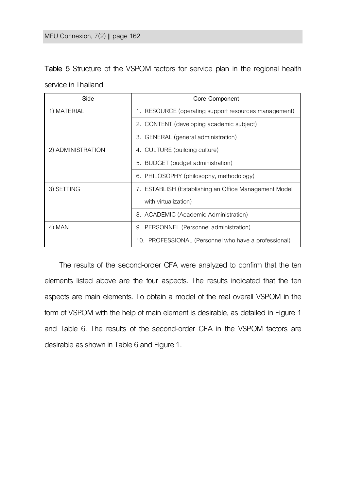| Table 5 Structure of the VSPOM factors for service plan in the regional health |  |  |  |  |  |
|--------------------------------------------------------------------------------|--|--|--|--|--|
| service in Thailand                                                            |  |  |  |  |  |

| Side              | Core Component                                        |  |
|-------------------|-------------------------------------------------------|--|
| 1) MATERIAL       | 1. RESOURCE (operating support resources management)  |  |
|                   | 2. CONTENT (developing academic subject)              |  |
|                   | 3. GENERAL (general administration)                   |  |
| 2) ADMINISTRATION | 4. CULTURE (building culture)                         |  |
|                   | 5. BUDGET (budget administration)                     |  |
|                   | 6. PHILOSOPHY (philosophy, methodology)               |  |
| 3) SETTING        | 7. ESTABLISH (Establishing an Office Management Model |  |
|                   | with virtualization)                                  |  |
|                   | 8. ACADEMIC (Academic Administration)                 |  |
| 4) MAN            | 9. PERSONNEL (Personnel administration)               |  |
|                   | 10. PROFESSIONAL (Personnel who have a professional)  |  |

The results of the second-order CFA were analyzed to confirm that the ten elements listed above are the four aspects. The results indicated that the ten aspects are main elements. To obtain a model of the real overall VSPOM in the form of VSPOM with the help of main element is desirable, as detailed in Figure 1 and Table 6. The results of the second-order CFA in the VSPOM factors are desirable as shown in Table 6 and Figure 1.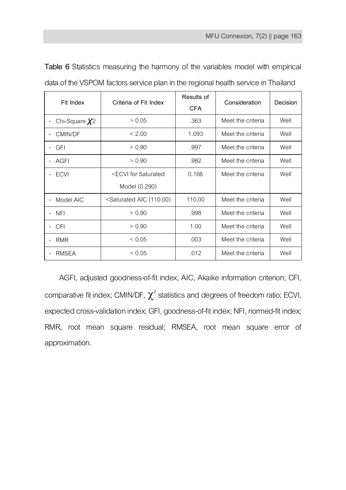| Fit Index                              | Criteria of Fit Index                                                                                   | Results of<br><b>CFA</b> | Consideration     | Decision |
|----------------------------------------|---------------------------------------------------------------------------------------------------------|--------------------------|-------------------|----------|
| Chi-Square $X^2$                       | > 0.05                                                                                                  | .363                     | Meet the criteria | Well     |
| CMIN/DF                                | < 2.00                                                                                                  | 1.093                    | Meet the criteria | Well     |
| <b>GFI</b>                             | > 0.90                                                                                                  | .997                     | Meet the criteria | Well     |
| AGFI                                   | > 0.90                                                                                                  | .982                     | Meet the criteria | Well     |
| <b>ECVI</b>                            | <ecvi for="" saturated<="" td=""><td>0.166</td><td>Meet the criteria</td><td>Well</td></ecvi>           | 0.166                    | Meet the criteria | Well     |
|                                        | Model (0.290)                                                                                           |                          |                   |          |
| Model AIC<br>$\overline{\phantom{0}}$  | <saturated (110.00)<="" aic="" td=""><td>110.00</td><td>Meet the criteria</td><td>Well</td></saturated> | 110.00                   | Meet the criteria | Well     |
| <b>NFI</b><br>$\overline{\phantom{0}}$ | > 0.90                                                                                                  | .998                     | Meet the criteria | Well     |
| <b>CFI</b><br>$\overline{\phantom{0}}$ | > 0.90                                                                                                  | 1.00                     | Meet the criteria | Well     |
| <b>RMR</b>                             | ${}_{0.05}$                                                                                             | .003                     | Meet the criteria | Well     |
| <b>RMSEA</b>                           | ${}< 0.05$                                                                                              | .012                     | Meet the criteria | Well     |

**Table 6** Statistics measuring the harmony of the variables model with empirical data of the VSPOM factors service plan in the regional health service in Thailand

AGFI, adjusted goodness-of-fit index; AIC, Akaike information criterion; CFI, comparative fit index; CMIN/DF,  $\chi^2$  statistics and degrees of freedom ratio; ECVI, expected cross-validation index; GFI, goodness-of-fit index; NFI, normed-fit index; RMR, root mean square residual; RMSEA, root mean square error of approximation.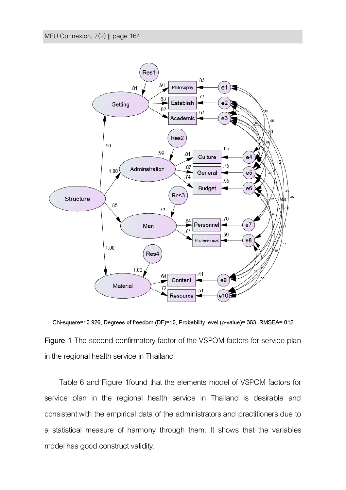

Chi-square=10.926, Degrees of freedom (DF)=10, Probability level (p-value)=.363, RMSEA=.012 **Figure 1** The second confirmatory factor of the VSPOM factors for service plan in the regional health service in Thailand

Table 6 and Figure 1found that the elements model of VSPOM factors for service plan in the regional health service in Thailand is desirable and consistent with the empirical data of the administrators and practitioners due to a statistical measure of harmony through them. It shows that the variables model has good construct validity.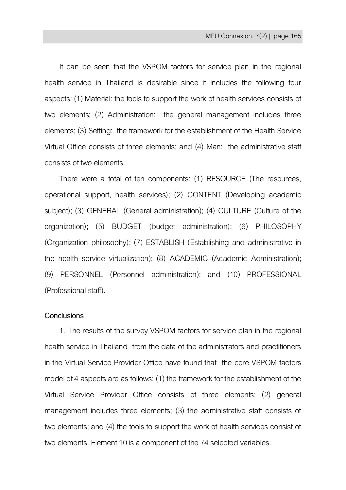It can be seen that the VSPOM factors for service plan in the regional health service in Thailand is desirable since it includes the following four aspects: (1) Material: the tools to support the work of health services consists of two elements; (2) Administration: the general management includes three elements; (3) Setting: the framework for the establishment of the Health Service Virtual Office consists of three elements; and (4) Man: the administrative staff consists of two elements.

There were a total of ten components: (1) RESOURCE (The resources, operational support, health services); (2) CONTENT (Developing academic subject); (3) GENERAL (General administration); (4) CULTURE (Culture of the organization); (5) BUDGET (budget administration); (6) PHILOSOPHY (Organization philosophy); (7) ESTABLISH (Establishing and administrative in the health service virtualization); (8) ACADEMIC (Academic Administration); (9) PERSONNEL (Personnel administration); and (10) PROFESSIONAL (Professional staff).

# **Conclusions**

1. The results of the survey VSPOM factors for service plan in the regional health service in Thailand from the data of the administrators and practitioners in the Virtual Service Provider Office have found that the core VSPOM factors model of 4 aspects are as follows: (1) the framework for the establishment of the Virtual Service Provider Office consists of three elements; (2) general management includes three elements; (3) the administrative staff consists of two elements; and (4) the tools to support the work of health services consist of two elements. Element 10 is a component of the 74 selected variables.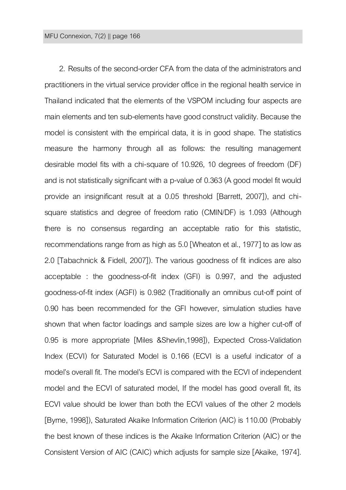2. Results of the second-order CFA from the data of the administrators and practitioners in the virtual service provider office in the regional health service in Thailand indicated that the elements of the VSPOM including four aspects are main elements and ten sub-elements have good construct validity. Because the model is consistent with the empirical data, it is in good shape. The statistics measure the harmony through all as follows: the resulting management desirable model fits with a chi-square of 10.926, 10 degrees of freedom (DF) and is not statistically significant with a p-value of 0.363(A good model fit would provide an insignificant result at a 0.05 threshold [Barrett, 2007]), and chisquare statistics and degree of freedom ratio (CMIN/DF) is 1.093 (Although there is no consensus regarding an acceptable ratio for this statistic, recommendations range from as high as 5.0 [Wheatonet al., 1977] to as low as 2.0 [Tabachnick & Fidell, 2007]). The various goodness of fit indices are also acceptable : the goodness-of-fit index (GFI) is 0.997, and the adjusted goodness-of-fit index (AGFI) is 0.982 (Traditionally an omnibus cut-off point of 0.90 has been recommended for the GFI however, simulation studies have shown that when factor loadings and sample sizes are low a higher cut-off of 0.95 is more appropriate [Miles &Shevlin,1998]), Expected Cross-Validation Index (ECVI) for Saturated Model is 0.166 (ECVI is a useful indicator of a model's overall fit. The model's ECVI is compared with the ECVI of independent model and the ECVI of saturated model, If the model has good overall fit, its ECVI value should be lower than both the ECVI values of the other 2 models [Byrne, 1998]), Saturated Akaike Information Criterion (AIC) is 110.00 (Probably the best known of these indices is the Akaike Information Criterion (AIC) or the Consistent Version of AIC (CAIC) which adjusts for sample size [Akaike, 1974].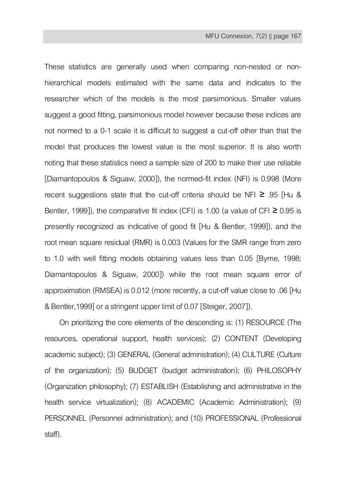These statistics are generally used when comparing non-nested or nonhierarchical models estimated with the same data and indicates to the researcher which of the models is the most parsimonious. Smaller values suggest a good fitting, parsimonious model however because these indices are not normed to a 0-1 scale it is difficult to suggest a cut-off other than that the model that produces the lowest value is the most superior. It is also worth noting that these statistics need a sample size of 200 to make their use reliable [Diamantopoulos & Siguaw, 2000]), the normed-fit index (NFI) is 0.998 (More recent suggestions state that the cut-off criteria should be NFI ≥ .95 [Hu & Bentler, 1999]), the comparative fit index (CFI) is 1.00 (a value of CFI  $\geq 0.95$  is presently recognized as indicative of good fit [Hu & Bentler, 1999]), and the root mean square residual (RMR) is 0.003(Values for the SMR range from zero to 1.0 with well fitting models obtaining values less than 0.05 [Byrne, 1998; Diamantopoulos & Siguaw, 2000]) while the root mean square error of approximation (RMSEA) is 0.012(more recently, a cut-off value close to .06 [Hu & Bentler,1999] or a stringent upper limit of 0.07 [Steiger,2007]).

On prioritizing the core elements of the descending is: (1) RESOURCE (The resources, operational support, health services); (2) CONTENT (Developing academic subject); (3) GENERAL(General administration); (4) CULTURE (Culture of the organization); (5) BUDGET (budget administration); (6) PHILOSOPHY (Organization philosophy); (7) ESTABLISH (Establishing and administrative in the health service virtualization); (8) ACADEMIC (Academic Administration); (9) PERSONNEL (Personnel administration); and (10) PROFESSIONAL (Professional staff).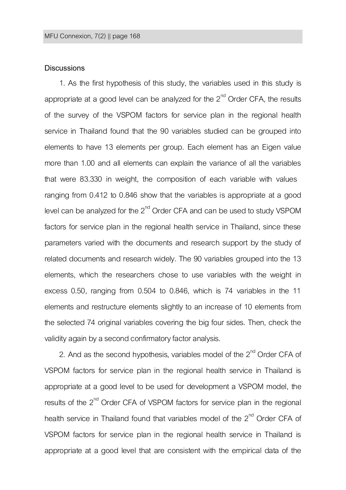# **Discussions**

1. As the first hypothesis of this study, the variables used in this study is appropriate at a good level can be analyzed for the  $2^{nd}$  Order CFA, the results of the survey of the VSPOM factors for service plan in the regional health service in Thailand found that the 90 variables studied can be grouped into elements to have 13 elements per group. Each element has an Eigen value more than 1.00 and all elements can explain the variance of all the variables that were 83.330 in weight, the composition of each variable with values ranging from 0.412 to 0.846 show that the variables is appropriate at a good level can be analyzed for the  $2^{nd}$  Order CFA and can be used to study VSPOM factors for service plan in the regional health service in Thailand, since these parameters varied with the documents and research support by the study of related documents and research widely. The 90 variables grouped into the 13 elements, which the researchers chose to use variables with the weight in excess 0.50, ranging from 0.504 to 0.846, which is 74 variables in the 11 elements and restructure elements slightly to an increase of 10 elements from the selected 74 original variables covering the big four sides. Then, check the validity again by a second confirmatory factor analysis.

2. And as the second hypothesis, variables model of the  $2<sup>nd</sup>$  Order CFA of VSPOM factors for service plan in the regional health service in Thailand is appropriate at a good level to be used for development a VSPOM model, the results of the 2<sup>nd</sup> Order CFA of VSPOM factors for service plan in the regional health service in Thailand found that variables model of the 2<sup>nd</sup> Order CFA of VSPOM factors for service plan in the regional health service in Thailand is appropriate at a good level that are consistent with the empirical data of the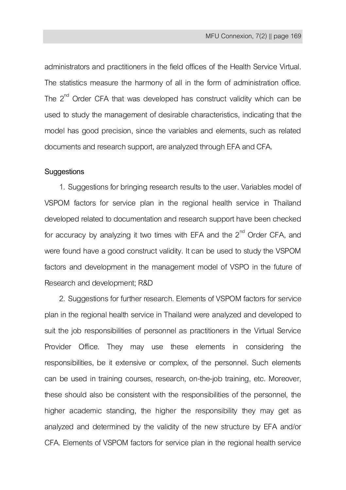administrators and practitioners in the field offices of the Health Service Virtual. The statistics measure the harmony of all in the form of administration office. The  $2^{nd}$  Order CFA that was developed has construct validity which can be used to study the management of desirable characteristics, indicating that the model has good precision, since the variables and elements, such as related documents and research support, are analyzed through EFA and CFA.

# **Suggestions**

1. Suggestions for bringing research results to the user. Variables model of VSPOM factors for service plan in the regional health service in Thailand developed related to documentation and research support have been checked for accuracy by analyzing it two times with EFA and the  $2<sup>nd</sup>$  Order CFA, and were found have a good construct validity. It can be used to study the VSPOM factors and development in the management model of VSPO in the future of Research and development; R&D

2. Suggestions for further research. Elements of VSPOM factors for service plan in the regional health service in Thailand were analyzed and developed to suit the job responsibilities of personnel as practitioners in the Virtual Service Provider Office. They may use these elements in considering the responsibilities, be it extensive or complex, of the personnel. Such elements can be used in training courses, research, on-the-job training, etc. Moreover, these should also be consistent with the responsibilities of the personnel, the higher academic standing, the higher the responsibility they may get as analyzed and determined by the validity of the new structure by EFA and/or CFA. Elements of VSPOM factors for service plan in the regional health service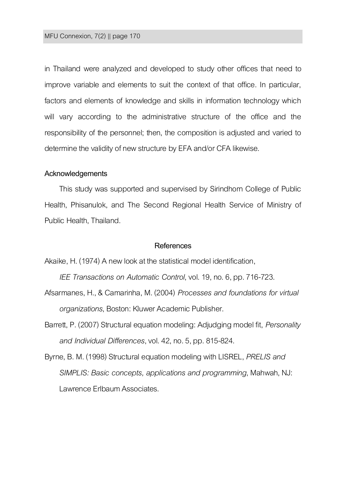in Thailand were analyzed and developed to study other offices that need to improve variable and elements to suit the context of that office. In particular, factors and elements of knowledge and skills in information technology which will vary according to the administrative structure of the office and the responsibility of the personnel; then, the composition is adjusted and varied to determine the validity of new structure by EFA and/or CFA likewise.

#### **Acknowledgements**

This study was supported and supervised by Sirindhorn College of Public Health, Phisanulok, and The Second Regional Health Service of Ministry of Public Health, Thailand.

# **References**

Akaike, H. (1974) A new look at the statistical model identification,

*IEE Transactions on Automatic Control*, vol. 19, no.6, pp. 716-723.

- Afsarmanes, H., & Camarinha, M. (2004) *Processes and foundations for virtual organizations*, Boston: Kluwer Academic Publisher.
- Barrett, P. (2007) Structural equation modeling: Adjudging model fit, *Personality and Individual Differences*, vol. 42, no. 5, pp. 815-824.
- Byrne, B. M. (1998) Structural equation modeling with LISREL, *PRELIS and SIMPLIS: Basic concepts, applications and programming*, Mahwah, NJ: Lawrence Erlbaum Associates.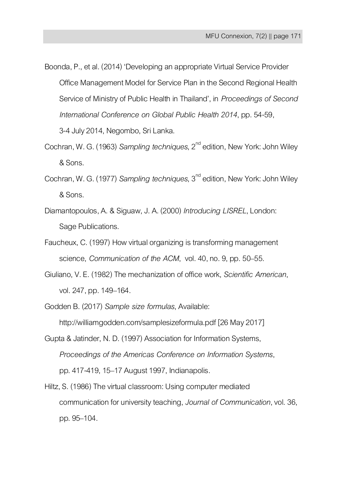Boonda, P., et al. (2014) 'Developing an appropriate Virtual Service Provider Office Management Model for Service Plan in the Second Regional Health Service of Ministry of Public Health in Thailand', in *Proceedings of Second International Conference on Global Public Health 2014*, pp. 54-59,

3-4 July 2014, Negombo, Sri Lanka.

- Cochran, W. G. (1963) *Sampling techniques*, 2<sup>nd</sup> edition, New York: John Wiley & Sons.
- Cochran, W. G. (1977) *Sampling techniques*, 3<sup>nd</sup> edition, New York: John Wiley & Sons.
- Diamantopoulos, A. & Siguaw, J. A. (2000) *Introducing LISREL*, London: Sage Publications.
- Faucheux, C. (1997) How virtual organizing is transforming management science, *Communication of the ACM*, vol. 40, no. 9, pp. 50–55.
- Giuliano, V. E. (1982) The mechanization of office work, *Scientific American*, vol. 247, pp. 149–164.

Godden B. (2017) *Sample size formulas*, Available: http://williamgodden.com/samplesizeformula.pdf [26 May 2017]

- Gupta & Jatinder, N. D. (1997) Association for Information Systems, *Proceedings of the Americas Conference on Information Systems*, pp. 417-419, 15–17 August 1997, Indianapolis.
- Hiltz, S. (1986) The virtual classroom: Using computer mediated communication for university teaching, *Journal of Communication*, vol. 36, pp. 95–104.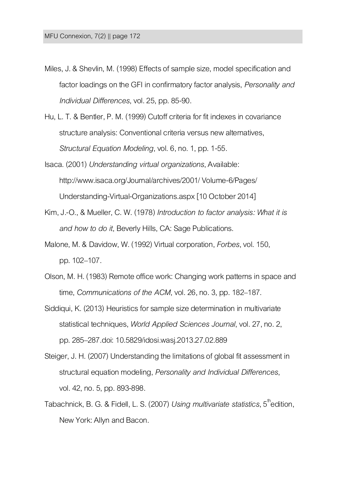- Miles, J. & Shevlin, M. (1998) Effects of sample size, model specification and factor loadings on the GFI in confirmatory factor analysis, *Personality and Individual Differences*, vol. 25, pp. 85-90.
- Hu, L.T. & Bentler, P. M. (1999) Cutoff criteria for fit indexes in covariance structure analysis: Conventional criteria versusnew alternatives, *Structural Equation Modeling*, vol. 6, no. 1, pp. 1-55.
- Isaca. (2001) *Understanding virtual organizations*, Available: http://www.isaca.org/Journal/archives/2001/ Volume-6/Pages/ Understanding-Virtual-Organizations.aspx[10 October 2014]
- Kim, [J.-O., &](https://www.google.co.th/search?hl=th&tbo=p&tbm=bks&q=inauthor:%22Jae-On+Kim%22&source=gbs_metadata_r&cad=10) [Mueller,](https://www.google.co.th/search?hl=th&tbo=p&tbm=bks&q=inauthor:%22Charles+W.+Mueller%22&source=gbs_metadata_r&cad=10) C. W. (1978) *Introduction to factor analysis: What it is and how to do it*, Beverly Hills, CA: Sage Publications.
- Malone, M. & Davidow, W. (1992) Virtual corporation, *Forbes*, vol.150, pp. 102–107.
- Olson, M. H. (1983) Remote office work: Changing work patterns in space and time, *Communications of the ACM*, vol. 26, no. 3, pp. 182–187.
- Siddiqui, K. (2013) Heuristics for sample size determination in multivariate statistical techniques, *World Applied Sciences Journal*, vol. 27, no. 2, pp. 285–287.doi: 10.5829/idosi.wasj.2013.27.02.889
- Steiger, J. H. (2007) Understanding the limitations of global fit assessment in structural equation modeling, *Personality and Individual Differences*, vol. 42, no.5, pp. 893-898.
- Tabachnick, B. G. & Fidell, L. S. (2007) *Using multivariate statistics*, 5<sup>th</sup>edition, New York: Allyn and Bacon.